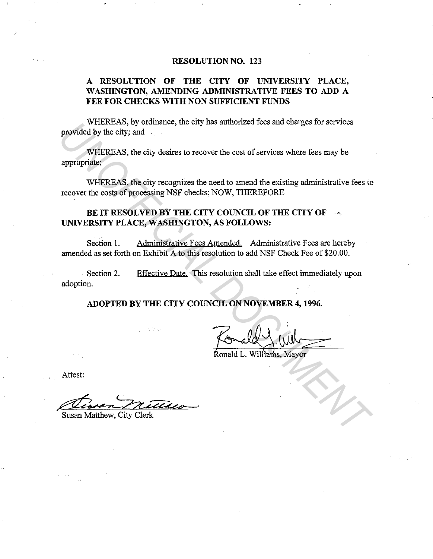#### **RESOLUTION NO. 123**

## **A RESOLUTION OF THE CITY OF UNIVERSITY PLACE, WASHINGTON, AMENDING ADMINISTRATIVE FEES TO ADD A FEE FOR CHECKS WITH NON SUFFICIENT FUNDS**

WHEREAS, by ordinance, the city has authorized fees and charges for services provided by the city; and

WHEREAS, the city desires to recover the cost of services where fees may be appropriate;

WHEREAS, the city recognizes the need to amend the existing administrative fees to recover the costs of processing NSF checks; NOW, THEREFORE **EXECUTE DRAFFICIAL DE CONSIDERATION**<br> **UNIFICIAL DE CONSIDERATION**<br> **UNIFICIAL DE CONSIDERATION**<br> **UNIFICIAL DE CONSIDERATION**<br> **UNIFICIAL DE CONSIDERATION**<br> **UNIFICIAL DE CONSIDERATION**<br> **UNIFICIAL DE CONSIDERATION DE CO** 

# **BE IT RESOLVED BY THE CITY COUNCIL OF THE CITY OF** · · **UNIVERSITY PLACE, WASHINGTON, AS FOLLOWS:**

Section 1. Administrative Fees Amended. Administrative Fees are hereby amended as set forth on Exhibit A to this resolution to add NSF Check Fee of \$20.00.

Section 2. adoption. Effective Date. This resolution shall take effect immediately upon

**ADOPTED BY THE CITY COUNCIL ON NOVEMBER 4, 1996.** 

Ronald L. Williams, Mayor

Attest:

Susan Matthew, City Clerk